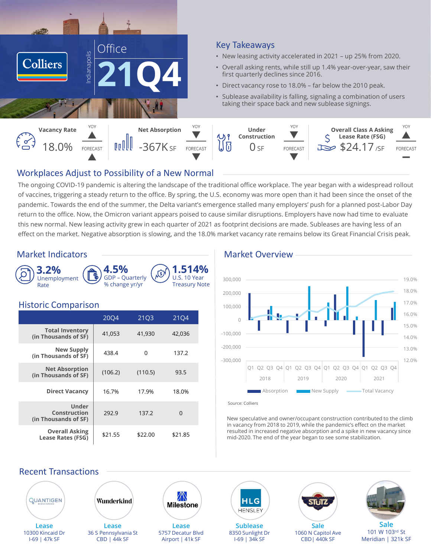

# Key Takeaways

- New leasing activity accelerated in 2021 up 25% from 2020.
- Overall asking rents, while still up 1.4% year-over-year, saw their first quarterly declines since 2016.
- Direct vacancy rose to 18.0% far below the 2010 peak.
- Sublease availability is falling, signaling a combination of users taking their space back and new sublease signings.



# Workplaces Adjust to Possibility of a New Normal

The ongoing COVID-19 pandemic is altering the landscape of the traditional office workplace. The year began with a widespread rollout of vaccines, triggering a steady return to the office. By spring, the U.S. economy was more open than it had been since the onset of the pandemic. Towards the end of the summer, the Delta variant's emergence stalled many employers' push for a planned post-Labor Day return to the office. Now, the Omicron variant appears poised to cause similar disruptions. Employers have now had time to evaluate this new normal. New leasing activity grew in each quarter of 2021 as footprint decisions are made. Subleases are having less of an effect on the market. Negative absorption is slowing, and the 18.0% market vacancy rate remains below its Great Financial Crisis peak.

# Market Indicators **Market Overview** Market Overview



# Historic Comparison

|                                                   | 2004    | 21Q3    | 2104     |
|---------------------------------------------------|---------|---------|----------|
| <b>Total Inventory</b><br>(in Thousands of SF)    | 41,053  | 41,930  | 42,036   |
| <b>New Supply</b><br>(in Thousands of SF)         | 438.4   | 0       | 137.2    |
| <b>Net Absorption</b><br>(in Thousands of SF)     | (106.2) | (110.5) | 93.5     |
| <b>Direct Vacancy</b>                             | 16.7%   | 17.9%   | 18.0%    |
| Under<br>Construction<br>(in Thousands of SF)     | 292.9   | 137.2   | $\Omega$ |
| <b>Overall Asking</b><br><b>Lease Rates (FSG)</b> | \$21.55 | \$22.00 | \$21.85  |



Source: Colliers

New speculative and owner/occupant construction contributed to the climb in vacancy from 2018 to 2019, while the pandemic's effect on the market resulted in increased negative absorption and a spike in new vacancy since mid-2020. The end of the year began to see some stabilization.

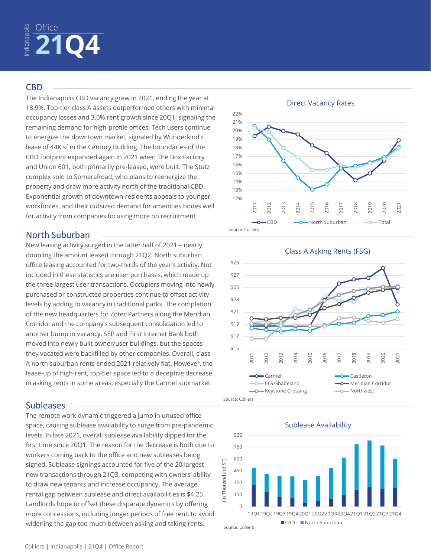

### CBD

The Indianapolis CBD vacancy grew in 2021, ending the year at 18.9%. Top-tier class A assets outperformed others with minimal occupancy losses and 3.0% rent growth since 20Q1, signaling the remaining demand for high-profile offices. Tech users continue to energize the downtown market, signaled by Wunderkind's lease of 44K sf in the Century Building. The boundaries of the CBD footprint expanded again in 2021 when The Box Factory and Union 601, both primarily pre-leased, were built. The Stutz complex sold to SomeraRoad, who plans to reenergize the property and draw more activity north of the traditional CBD. Exponential growth of downtown residents appeals to younger workforces, and their outsized demand for amenities bodes well for activity from companies focusing more on recruitment.

# North Suburban

New leasing activity surged in the latter half of 2021 – nearly doubling the amount leased through 21Q2. North suburban office leasing accounted for two-thirds of the year's activity. Not included in these statistics are user purchases, which made up the three largest user transactions. Occupiers moving into newly purchased or constructed properties continue to offset activity levels by adding to vacancy in traditional parks. The completion of the new headquarters for Zotec Partners along the Meridian Corridor and the company's subsequent consolidation led to another bump in vacancy. SEP and First Internet Bank both moved into newly built owner/user buildings, but the spaces they vacated were backfilled by other companies. Overall, class A north suburban rents ended 2021 relatively flat. However, the lease-up of high-rent, top-tier space led to a deceptive decrease in asking rents in some areas, especially the Carmel submarket.

# **Subleases**

The remote work dynamic triggered a jump in unused office space, causing sublease availability to surge from pre-pandemic levels. In late 2021, overall sublease availability dipped for the first time since 20Q1. The reason for the decrease is both due to workers coming back to the office and new subleases being signed. Sublease signings accounted for five of the 20 largest new transactions through 21Q3, competing with owners' ability to draw new tenants and increase occupancy. The average rental gap between sublease and direct availabilities is \$4.25. Landlords hope to offset these disparate dynamics by offering more concessions, including longer periods of free rent, to avoid widening the gap too much between asking and taking rents.



#### Class A Asking Rents (FSG)



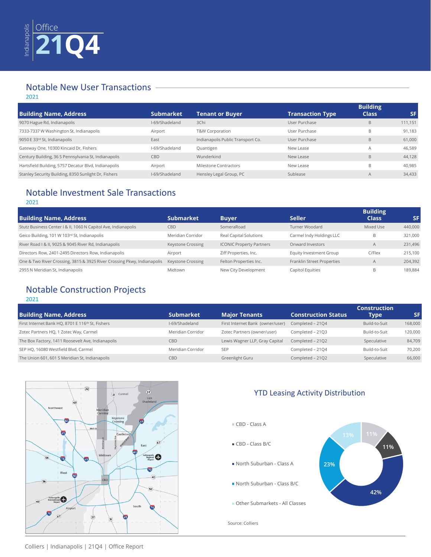

# Notable New User Transactions

2021

| <b>Building Name, Address</b>                        | <b>Submarket</b> | <b>Tenant or Buyer</b>            | <b>Transaction Type</b> | <b>Building</b><br><b>Class</b> | <b>SF</b> |
|------------------------------------------------------|------------------|-----------------------------------|-------------------------|---------------------------------|-----------|
| 9070 Hague Rd, Indianapolis                          | I-69/Shadeland   | 3Chi                              | User Purchase           | B                               | 111,151   |
| 7333-7337 W Washington St, Indianapolis              | Airport          | T&W Corporation                   | User Purchase           | B                               | 91.183    |
| 9050 E 33rd St, Indianapolis                         | East             | Indianapolis Public Transport Co. | User Purchase           | B                               | 61,000    |
| Gateway One, 10300 Kincaid Dr, Fishers               | I-69/Shadeland   | Quantigen                         | New Lease               | A                               | 46,589    |
| Century Building, 36 S Pennsylvania St, Indianapolis | CBD              | Wunderkind                        | New Lease               | B                               | 44.128    |
| Hartsfield Building, 5757 Decatur Blvd, Indianapolis | Airport          | Milestone Contractors             | New Lease               | B                               | 40.985    |
| Stanley Security Building, 8350 Sunlight Dr, Fishers | I-69/Shadeland   | Hensley Legal Group, PC           | Sublease                | $\overline{A}$                  | 34,433    |

# Notable Investment Sale Transactions

#### 2021

|                                                                         |                          |                                 |                            | <b>Building</b> |         |
|-------------------------------------------------------------------------|--------------------------|---------------------------------|----------------------------|-----------------|---------|
| <b>Building Name, Address</b>                                           | <b>Submarket</b>         | <b>Buyer</b>                    | <b>Seller</b>              | <b>Class</b>    | SF.     |
| Stutz Business Center   & II, 1060 N Capitol Ave, Indianapolis          | <b>CBD</b>               | SomeraRoad                      | Turner Woodard             | Mixed Use       | 440,000 |
| Geico Building, 101 W 103rd St, Indianapolis                            | Meridian Corridor        | Real Capital Solutions          | Carmel Indy Holdings LLC   | B               | 321,000 |
| River Road I & II, 9025 & 9045 River Rd, Indianapolis                   | <b>Keystone Crossing</b> | <b>ICONIC Property Partners</b> | Onward Investors           | A               | 231,496 |
| Directors Row, 2401-2495 Directors Row, Indianapolis                    | Airport                  | Ziff Properties, Inc.           | Equity Investment Group    | C/Flex          | 215,100 |
| One & Two River Crossing, 3815 & 3925 River Crossing Pkwy, Indianapolis | Keystone Crossing        | Felton Properties Inc.          | Franklin Street Properties | A               | 204,392 |
| 2955 N Meridian St, Indianapolis                                        | Midtown                  | New City Development            | Capitol Equities           | B               | 189.884 |

# Notable Construction Projects

2021

|                                                   |                   |                                  |                            | <b>Construction</b> |         |
|---------------------------------------------------|-------------------|----------------------------------|----------------------------|---------------------|---------|
| <b>Building Name, Address</b>                     | <b>Submarket</b>  | <b>Major Tenants</b>             | <b>Construction Status</b> | <b>Type</b>         | SF      |
| First Internet Bank HQ, 8701 E 116th St, Fishers  | I-69/Shadeland    | First Internet Bank (owner/user) | Completed - 2104           | Build-to-Suit       | 168,000 |
| Zotec Partners HQ, 1 Zotec Way, Carmel            | Meridian Corridor | Zotec Partners (owner/user)      | Completed - 21Q3           | Build-to-Suit       | 120,000 |
| The Box Factory, 1411 Roosevelt Ave, Indianapolis | CBD               | Lewis Wagner LLP, Gray Capital   | Completed - 21Q2           | Speculative         | 84,709  |
| SEP HQ, 16080 Westfield Blvd, Carmel              | Meridian Corridor | <b>SEP</b>                       | Completed - 2104           | Build-to-Suit       | 70,200  |
| The Union 601, 601 S Meridian St, Indianapolis    | CBD               | Greenlight Guru                  | Completed - 21Q2           | Speculative         | 66,000  |



# YTD Leasing Activity Distribution





Source: Colliers